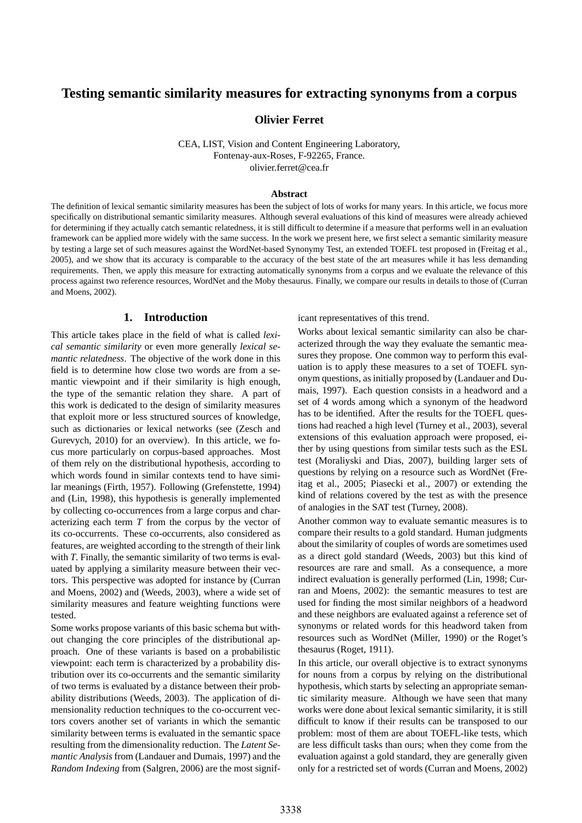# **Testing semantic similarity measures for extracting synonyms from a corpus**

**Olivier Ferret**

CEA, LIST, Vision and Content Engineering Laboratory, Fontenay-aux-Roses, F-92265, France. olivier.ferret@cea.fr

#### **Abstract**

The definition of lexical semantic similarity measures has been the subject of lots of works for many years. In this article, we focus more specifically on distributional semantic similarity measures. Although several evaluations of this kind of measures were already achieved for determining if they actually catch semantic relatedness, it is still difficult to determine if a measure that performs well in an evaluation framework can be applied more widely with the same success. In the work we present here, we first select a semantic similarity measure by testing a large set of such measures against the WordNet-based Synonymy Test, an extended TOEFL test proposed in (Freitag et al., 2005), and we show that its accuracy is comparable to the accuracy of the best state of the art measures while it has less demanding requirements. Then, we apply this measure for extracting automatically synonyms from a corpus and we evaluate the relevance of this process against two reference resources, WordNet and the Moby thesaurus. Finally, we compare our results in details to those of (Curran and Moens, 2002).

## **1. Introduction**

This article takes place in the field of what is called *lexical semantic similarity* or even more generally *lexical semantic relatedness*. The objective of the work done in this field is to determine how close two words are from a semantic viewpoint and if their similarity is high enough, the type of the semantic relation they share. A part of this work is dedicated to the design of similarity measures that exploit more or less structured sources of knowledge, such as dictionaries or lexical networks (see (Zesch and Gurevych, 2010) for an overview). In this article, we focus more particularly on corpus-based approaches. Most of them rely on the distributional hypothesis, according to which words found in similar contexts tend to have similar meanings (Firth, 1957). Following (Grefenstette, 1994) and (Lin, 1998), this hypothesis is generally implemented by collecting co-occurrences from a large corpus and characterizing each term *T* from the corpus by the vector of its co-occurrents. These co-occurrents, also considered as features, are weighted according to the strength of their link with *T*. Finally, the semantic similarity of two terms is evaluated by applying a similarity measure between their vectors. This perspective was adopted for instance by (Curran and Moens, 2002) and (Weeds, 2003), where a wide set of similarity measures and feature weighting functions were tested.

Some works propose variants of this basic schema but without changing the core principles of the distributional approach. One of these variants is based on a probabilistic viewpoint: each term is characterized by a probability distribution over its co-occurrents and the semantic similarity of two terms is evaluated by a distance between their probability distributions (Weeds, 2003). The application of dimensionality reduction techniques to the co-occurrent vectors covers another set of variants in which the semantic similarity between terms is evaluated in the semantic space resulting from the dimensionality reduction. The *Latent Semantic Analysis* from (Landauer and Dumais, 1997) and the *Random Indexing* from (Salgren, 2006) are the most significant representatives of this trend.

Works about lexical semantic similarity can also be characterized through the way they evaluate the semantic measures they propose. One common way to perform this evaluation is to apply these measures to a set of TOEFL synonym questions, as initially proposed by (Landauer and Dumais, 1997). Each question consists in a headword and a set of 4 words among which a synonym of the headword has to be identified. After the results for the TOEFL questions had reached a high level (Turney et al., 2003), several extensions of this evaluation approach were proposed, either by using questions from similar tests such as the ESL test (Moraliyski and Dias, 2007), building larger sets of questions by relying on a resource such as WordNet (Freitag et al., 2005; Piasecki et al., 2007) or extending the kind of relations covered by the test as with the presence of analogies in the SAT test (Turney, 2008).

Another common way to evaluate semantic measures is to compare their results to a gold standard. Human judgments about the similarity of couples of words are sometimes used as a direct gold standard (Weeds, 2003) but this kind of resources are rare and small. As a consequence, a more indirect evaluation is generally performed (Lin, 1998; Curran and Moens, 2002): the semantic measures to test are used for finding the most similar neighbors of a headword and these neighbors are evaluated against a reference set of synonyms or related words for this headword taken from resources such as WordNet (Miller, 1990) or the Roget's thesaurus (Roget, 1911).

In this article, our overall objective is to extract synonyms for nouns from a corpus by relying on the distributional hypothesis, which starts by selecting an appropriate semantic similarity measure. Although we have seen that many works were done about lexical semantic similarity, it is still difficult to know if their results can be transposed to our problem: most of them are about TOEFL-like tests, which are less difficult tasks than ours; when they come from the evaluation against a gold standard, they are generally given only for a restricted set of words (Curran and Moens, 2002)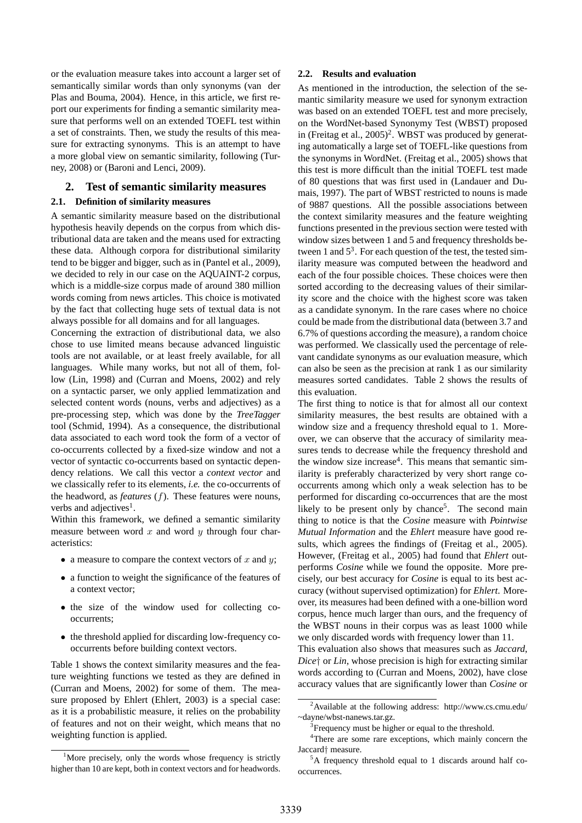or the evaluation measure takes into account a larger set of semantically similar words than only synonyms (van der Plas and Bouma, 2004). Hence, in this article, we first report our experiments for finding a semantic similarity measure that performs well on an extended TOEFL test within a set of constraints. Then, we study the results of this measure for extracting synonyms. This is an attempt to have a more global view on semantic similarity, following (Turney, 2008) or (Baroni and Lenci, 2009).

# **2. Test of semantic similarity measures**

### **2.1. Definition of similarity measures**

A semantic similarity measure based on the distributional hypothesis heavily depends on the corpus from which distributional data are taken and the means used for extracting these data. Although corpora for distributional similarity tend to be bigger and bigger, such as in (Pantel et al., 2009), we decided to rely in our case on the AQUAINT-2 corpus, which is a middle-size corpus made of around 380 million words coming from news articles. This choice is motivated by the fact that collecting huge sets of textual data is not always possible for all domains and for all languages.

Concerning the extraction of distributional data, we also chose to use limited means because advanced linguistic tools are not available, or at least freely available, for all languages. While many works, but not all of them, follow (Lin, 1998) and (Curran and Moens, 2002) and rely on a syntactic parser, we only applied lemmatization and selected content words (nouns, verbs and adjectives) as a pre-processing step, which was done by the *TreeTagger* tool (Schmid, 1994). As a consequence, the distributional data associated to each word took the form of a vector of co-occurrents collected by a fixed-size window and not a vector of syntactic co-occurrents based on syntactic dependency relations. We call this vector a *context vector* and we classically refer to its elements, *i.e.* the co-occurrents of the headword, as *features* (f). These features were nouns, verbs and adjectives<sup>1</sup>.

Within this framework, we defined a semantic similarity measure between word  $x$  and word  $y$  through four characteristics:

- a measure to compare the context vectors of  $x$  and  $y$ ;
- a function to weight the significance of the features of a context vector;
- the size of the window used for collecting cooccurrents;
- the threshold applied for discarding low-frequency cooccurrents before building context vectors.

Table 1 shows the context similarity measures and the feature weighting functions we tested as they are defined in (Curran and Moens, 2002) for some of them. The measure proposed by Ehlert (Ehlert, 2003) is a special case: as it is a probabilistic measure, it relies on the probability of features and not on their weight, which means that no weighting function is applied.

### **2.2. Results and evaluation**

As mentioned in the introduction, the selection of the semantic similarity measure we used for synonym extraction was based on an extended TOEFL test and more precisely, on the WordNet-based Synonymy Test (WBST) proposed in (Freitag et al.,  $2005$ )<sup>2</sup>. WBST was produced by generating automatically a large set of TOEFL-like questions from the synonyms in WordNet. (Freitag et al., 2005) shows that this test is more difficult than the initial TOEFL test made of 80 questions that was first used in (Landauer and Dumais, 1997). The part of WBST restricted to nouns is made of 9887 questions. All the possible associations between the context similarity measures and the feature weighting functions presented in the previous section were tested with window sizes between 1 and 5 and frequency thresholds between 1 and  $5<sup>3</sup>$ . For each question of the test, the tested similarity measure was computed between the headword and each of the four possible choices. These choices were then sorted according to the decreasing values of their similarity score and the choice with the highest score was taken as a candidate synonym. In the rare cases where no choice could be made from the distributional data (between 3.7 and 6.7% of questions according the measure), a random choice was performed. We classically used the percentage of relevant candidate synonyms as our evaluation measure, which can also be seen as the precision at rank 1 as our similarity measures sorted candidates. Table 2 shows the results of this evaluation.

The first thing to notice is that for almost all our context similarity measures, the best results are obtained with a window size and a frequency threshold equal to 1. Moreover, we can observe that the accuracy of similarity measures tends to decrease while the frequency threshold and the window size increase<sup>4</sup>. This means that semantic similarity is preferably characterized by very short range cooccurrents among which only a weak selection has to be performed for discarding co-occurrences that are the most likely to be present only by chance<sup>5</sup>. The second main thing to notice is that the *Cosine* measure with *Pointwise Mutual Information* and the *Ehlert* measure have good results, which agrees the findings of (Freitag et al., 2005). However, (Freitag et al., 2005) had found that *Ehlert* outperforms *Cosine* while we found the opposite. More precisely, our best accuracy for *Cosine* is equal to its best accuracy (without supervised optimization) for *Ehlert*. Moreover, its measures had been defined with a one-billion word corpus, hence much larger than ours, and the frequency of the WBST nouns in their corpus was as least 1000 while we only discarded words with frequency lower than 11.

This evaluation also shows that measures such as *Jaccard*, *Dice*† or *Lin*, whose precision is high for extracting similar words according to (Curran and Moens, 2002), have close accuracy values that are significantly lower than *Cosine* or

<sup>&</sup>lt;sup>1</sup>More precisely, only the words whose frequency is strictly higher than 10 are kept, both in context vectors and for headwords.

<sup>2</sup>Available at the following address: http://www.cs.cmu.edu/ ~dayne/wbst-nanews.tar.gz.

<sup>&</sup>lt;sup>3</sup> Frequency must be higher or equal to the threshold.

<sup>&</sup>lt;sup>4</sup>There are some rare exceptions, which mainly concern the Jaccard† measure.

<sup>5</sup>A frequency threshold equal to 1 discards around half cooccurrences.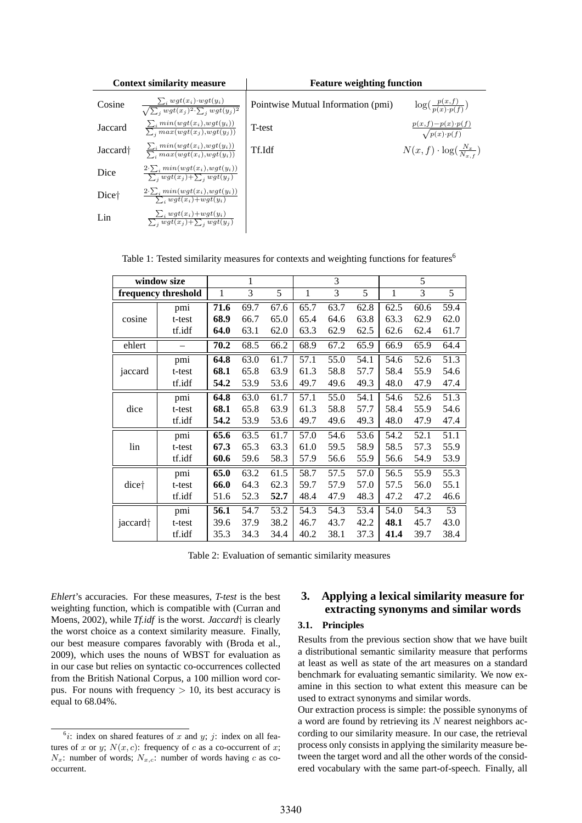| <b>Context similarity measure</b> |                                                                                           | <b>Feature weighting function</b>  |                                                       |  |  |  |  |
|-----------------------------------|-------------------------------------------------------------------------------------------|------------------------------------|-------------------------------------------------------|--|--|--|--|
| Cosine                            | $\frac{\sum_i wgt(x_i) \cdot wgt(y_i)}{\sqrt{\sum_i wgt(x_j)^2 \cdot \sum_i wgt(y_j)^2}}$ | Pointwise Mutual Information (pmi) | $\log(\frac{p(x,f)}{p(x),p(f)})$                      |  |  |  |  |
| Jaccard                           | $\frac{\sum_i min(wgt(x_i), wgt(y_i))}{\sum_i max(wgt(x_j), wgt(y_j))}$                   | T-test                             | $\frac{p(x,f)-p(x)\cdot p(f)}{\sqrt{p(x)\cdot p(f)}}$ |  |  |  |  |
| Jaccard <sup>+</sup>              | $\frac{\sum_i min(wgt(x_i), wgt(y_i))}{\sum_i max(wgt(x_i), wgt(y_i))}$                   | Tf.Idf                             | $N(x, f) \cdot \log(\frac{N_x}{N-x})$                 |  |  |  |  |
| Dice                              | $\frac{2\cdot\sum_i min(wgt(x_i), wgt(y_i))}{\sum_j wgt(x_j)+\sum_j wgt(y_j)}$            |                                    |                                                       |  |  |  |  |
| Dice <sup>†</sup>                 | $\frac{2\cdot\sum_i min(wgt(x_i), wgt(y_i))}{\sum_i wgt(x_i)+wgt(y_i)}$                   |                                    |                                                       |  |  |  |  |
| Lin                               | $\frac{\sum_i wgt(x_i)+wgt(y_i)}{\sum_i wgt(x_i)+\sum_i wgt(y_i)}$                        |                                    |                                                       |  |  |  |  |

Table 1: Tested similarity measures for contexts and weighting functions for features<sup>6</sup>

| window size          |        |              | 1    |      |      | 3    |      |              | 5    |      |
|----------------------|--------|--------------|------|------|------|------|------|--------------|------|------|
| frequency threshold  |        | $\mathbf{1}$ | 3    | 5    | 1    | 3    | 5    | $\mathbf{1}$ | 3    | 5    |
| cosine               | pmi    | 71.6         | 69.7 | 67.6 | 65.7 | 63.7 | 62.8 | 62.5         | 60.6 | 59.4 |
|                      | t-test | 68.9         | 66.7 | 65.0 | 65.4 | 64.6 | 63.8 | 63.3         | 62.9 | 62.0 |
|                      | tf.idf | 64.0         | 63.1 | 62.0 | 63.3 | 62.9 | 62.5 | 62.6         | 62.4 | 61.7 |
| ehlert               |        | 70.2         | 68.5 | 66.2 | 68.9 | 67.2 | 65.9 | 66.9         | 65.9 | 64.4 |
|                      | pmi    | 64.8         | 63.0 | 61.7 | 57.1 | 55.0 | 54.1 | 54.6         | 52.6 | 51.3 |
| jaccard              | t-test | 68.1         | 65.8 | 63.9 | 61.3 | 58.8 | 57.7 | 58.4         | 55.9 | 54.6 |
|                      | tf.idf | 54.2         | 53.9 | 53.6 | 49.7 | 49.6 | 49.3 | 48.0         | 47.9 | 47.4 |
| dice                 | pmi    | 64.8         | 63.0 | 61.7 | 57.1 | 55.0 | 54.1 | 54.6         | 52.6 | 51.3 |
|                      | t-test | 68.1         | 65.8 | 63.9 | 61.3 | 58.8 | 57.7 | 58.4         | 55.9 | 54.6 |
|                      | tf.idf | 54.2         | 53.9 | 53.6 | 49.7 | 49.6 | 49.3 | 48.0         | 47.9 | 47.4 |
| lin                  | pmi    | 65.6         | 63.5 | 61.7 | 57.0 | 54.6 | 53.6 | 54.2         | 52.1 | 51.1 |
|                      | t-test | 67.3         | 65.3 | 63.3 | 61.0 | 59.5 | 58.9 | 58.5         | 57.3 | 55.9 |
|                      | tf.idf | 60.6         | 59.6 | 58.3 | 57.9 | 56.6 | 55.9 | 56.6         | 54.9 | 53.9 |
| dice <sup>+</sup>    | pmi    | 65.0         | 63.2 | 61.5 | 58.7 | 57.5 | 57.0 | 56.5         | 55.9 | 55.3 |
|                      | t-test | 66.0         | 64.3 | 62.3 | 59.7 | 57.9 | 57.0 | 57.5         | 56.0 | 55.1 |
|                      | tf.idf | 51.6         | 52.3 | 52.7 | 48.4 | 47.9 | 48.3 | 47.2         | 47.2 | 46.6 |
| jaccard <sup>+</sup> | pmi    | 56.1         | 54.7 | 53.2 | 54.3 | 54.3 | 53.4 | 54.0         | 54.3 | 53   |
|                      | t-test | 39.6         | 37.9 | 38.2 | 46.7 | 43.7 | 42.2 | 48.1         | 45.7 | 43.0 |
|                      | tf.idf | 35.3         | 34.3 | 34.4 | 40.2 | 38.1 | 37.3 | 41.4         | 39.7 | 38.4 |

Table 2: Evaluation of semantic similarity measures

*Ehlert*'s accuracies. For these measures, *T-test* is the best weighting function, which is compatible with (Curran and Moens, 2002), while *Tf.idf* is the worst. *Jaccard*† is clearly the worst choice as a context similarity measure. Finally, our best measure compares favorably with (Broda et al., 2009), which uses the nouns of WBST for evaluation as in our case but relies on syntactic co-occurrences collected from the British National Corpus, a 100 million word corpus. For nouns with frequency  $> 10$ , its best accuracy is equal to 68.04%.

# **3. Applying a lexical similarity measure for extracting synonyms and similar words**

# **3.1. Principles**

Results from the previous section show that we have built a distributional semantic similarity measure that performs at least as well as state of the art measures on a standard benchmark for evaluating semantic similarity. We now examine in this section to what extent this measure can be used to extract synonyms and similar words.

Our extraction process is simple: the possible synonyms of a word are found by retrieving its  $N$  nearest neighbors according to our similarity measure. In our case, the retrieval process only consists in applying the similarity measure between the target word and all the other words of the considered vocabulary with the same part-of-speech. Finally, all

 $\delta i$ : index on shared features of x and y; j: index on all features of x or y;  $N(x, c)$ : frequency of c as a co-occurrent of x;  $N_x$ : number of words;  $N_{x,c}$ : number of words having c as cooccurrent.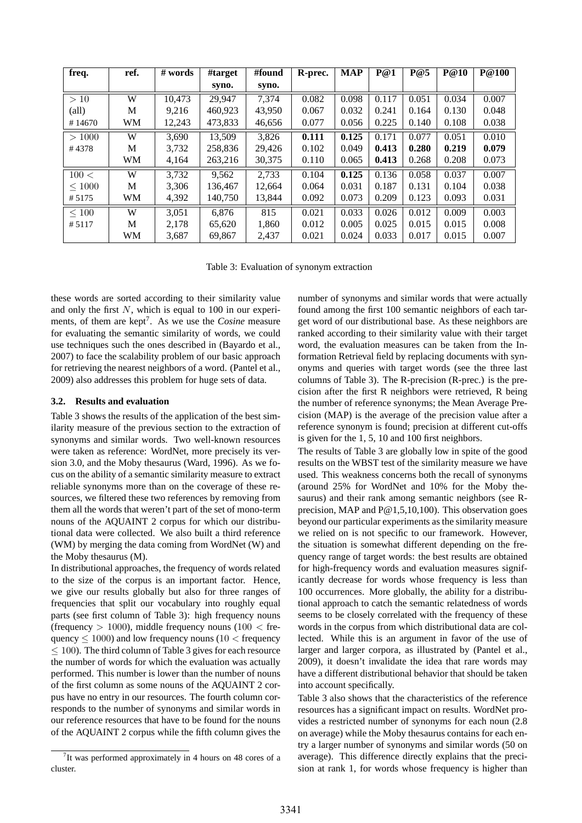| freq.          | ref. | # words | #target | #found | R-prec. | <b>MAP</b> | P@1   | P@5   | P@10  | <b>P@100</b> |
|----------------|------|---------|---------|--------|---------|------------|-------|-------|-------|--------------|
|                |      |         | syno.   | syno.  |         |            |       |       |       |              |
| >10            | W    | 10,473  | 29,947  | 7.374  | 0.082   | 0.098      | 0.117 | 0.051 | 0.034 | 0.007        |
| $\text{(all)}$ | М    | 9,216   | 460,923 | 43,950 | 0.067   | 0.032      | 0.241 | 0.164 | 0.130 | 0.048        |
| #14670         | WM   | 12,243  | 473,833 | 46,656 | 0.077   | 0.056      | 0.225 | 0.140 | 0.108 | 0.038        |
| >1000          | W    | 3,690   | 13,509  | 3,826  | 0.111   | 0.125      | 0.171 | 0.077 | 0.051 | 0.010        |
| #4378          | М    | 3,732   | 258,836 | 29,426 | 0.102   | 0.049      | 0.413 | 0.280 | 0.219 | 0.079        |
|                | WM   | 4,164   | 263,216 | 30,375 | 0.110   | 0.065      | 0.413 | 0.268 | 0.208 | 0.073        |
| 100 <          | W    | 3,732   | 9,562   | 2,733  | 0.104   | 0.125      | 0.136 | 0.058 | 0.037 | 0.007        |
| < 1000         | M    | 3,306   | 136,467 | 12.664 | 0.064   | 0.031      | 0.187 | 0.131 | 0.104 | 0.038        |
| # 5175         | WM   | 4,392   | 140,750 | 13,844 | 0.092   | 0.073      | 0.209 | 0.123 | 0.093 | 0.031        |
| $\leq 100$     | W    | 3,051   | 6.876   | 815    | 0.021   | 0.033      | 0.026 | 0.012 | 0.009 | 0.003        |
| #5117          | M    | 2.178   | 65.620  | 1,860  | 0.012   | 0.005      | 0.025 | 0.015 | 0.015 | 0.008        |
|                | WM   | 3,687   | 69,867  | 2,437  | 0.021   | 0.024      | 0.033 | 0.017 | 0.015 | 0.007        |

Table 3: Evaluation of synonym extraction

these words are sorted according to their similarity value and only the first  $N$ , which is equal to 100 in our experiments, of them are kept<sup>7</sup>. As we use the *Cosine* measure for evaluating the semantic similarity of words, we could use techniques such the ones described in (Bayardo et al., 2007) to face the scalability problem of our basic approach for retrieving the nearest neighbors of a word. (Pantel et al., 2009) also addresses this problem for huge sets of data.

#### **3.2. Results and evaluation**

Table 3 shows the results of the application of the best similarity measure of the previous section to the extraction of synonyms and similar words. Two well-known resources were taken as reference: WordNet, more precisely its version 3.0, and the Moby thesaurus (Ward, 1996). As we focus on the ability of a semantic similarity measure to extract reliable synonyms more than on the coverage of these resources, we filtered these two references by removing from them all the words that weren't part of the set of mono-term nouns of the AQUAINT 2 corpus for which our distributional data were collected. We also built a third reference (WM) by merging the data coming from WordNet (W) and the Moby thesaurus (M).

In distributional approaches, the frequency of words related to the size of the corpus is an important factor. Hence, we give our results globally but also for three ranges of frequencies that split our vocabulary into roughly equal parts (see first column of Table 3): high frequency nouns (frequency  $> 1000$ ), middle frequency nouns (100  $<$  frequency  $\leq 1000$ ) and low frequency nouns (10  $\leq$  frequency  $\leq$  100). The third column of Table 3 gives for each resource the number of words for which the evaluation was actually performed. This number is lower than the number of nouns of the first column as some nouns of the AQUAINT 2 corpus have no entry in our resources. The fourth column corresponds to the number of synonyms and similar words in our reference resources that have to be found for the nouns of the AQUAINT 2 corpus while the fifth column gives the

number of synonyms and similar words that were actually found among the first 100 semantic neighbors of each target word of our distributional base. As these neighbors are ranked according to their similarity value with their target word, the evaluation measures can be taken from the Information Retrieval field by replacing documents with synonyms and queries with target words (see the three last columns of Table 3). The R-precision (R-prec.) is the precision after the first R neighbors were retrieved, R being the number of reference synonyms; the Mean Average Precision (MAP) is the average of the precision value after a reference synonym is found; precision at different cut-offs is given for the 1, 5, 10 and 100 first neighbors.

The results of Table 3 are globally low in spite of the good results on the WBST test of the similarity measure we have used. This weakness concerns both the recall of synonyms (around 25% for WordNet and 10% for the Moby thesaurus) and their rank among semantic neighbors (see Rprecision, MAP and P@1,5,10,100). This observation goes beyond our particular experiments as the similarity measure we relied on is not specific to our framework. However, the situation is somewhat different depending on the frequency range of target words: the best results are obtained for high-frequency words and evaluation measures significantly decrease for words whose frequency is less than 100 occurrences. More globally, the ability for a distributional approach to catch the semantic relatedness of words seems to be closely correlated with the frequency of these words in the corpus from which distributional data are collected. While this is an argument in favor of the use of larger and larger corpora, as illustrated by (Pantel et al., 2009), it doesn't invalidate the idea that rare words may have a different distributional behavior that should be taken into account specifically.

Table 3 also shows that the characteristics of the reference resources has a significant impact on results. WordNet provides a restricted number of synonyms for each noun (2.8 on average) while the Moby thesaurus contains for each entry a larger number of synonyms and similar words (50 on average). This difference directly explains that the precision at rank 1, for words whose frequency is higher than

<sup>&</sup>lt;sup>7</sup>It was performed approximately in 4 hours on 48 cores of a cluster.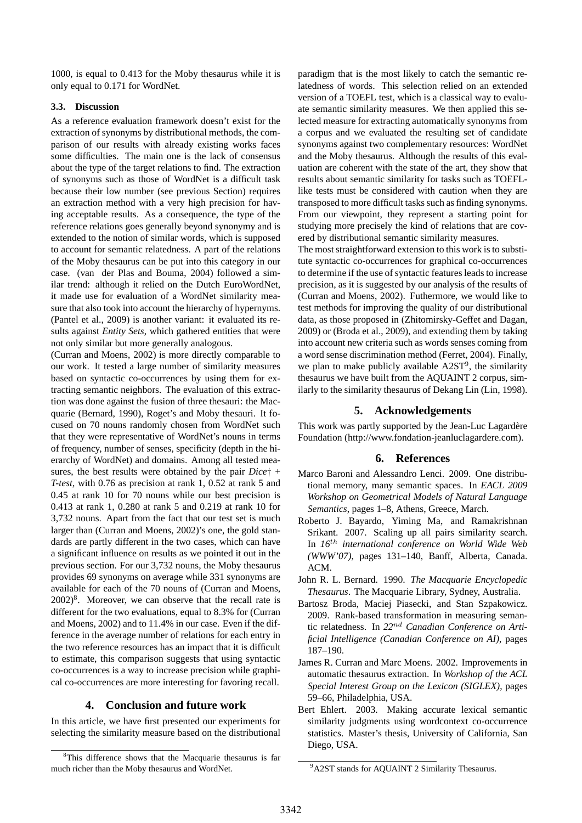1000, is equal to 0.413 for the Moby thesaurus while it is only equal to 0.171 for WordNet.

#### **3.3. Discussion**

As a reference evaluation framework doesn't exist for the extraction of synonyms by distributional methods, the comparison of our results with already existing works faces some difficulties. The main one is the lack of consensus about the type of the target relations to find. The extraction of synonyms such as those of WordNet is a difficult task because their low number (see previous Section) requires an extraction method with a very high precision for having acceptable results. As a consequence, the type of the reference relations goes generally beyond synonymy and is extended to the notion of similar words, which is supposed to account for semantic relatedness. A part of the relations of the Moby thesaurus can be put into this category in our case. (van der Plas and Bouma, 2004) followed a similar trend: although it relied on the Dutch EuroWordNet, it made use for evaluation of a WordNet similarity measure that also took into account the hierarchy of hypernyms. (Pantel et al., 2009) is another variant: it evaluated its results against *Entity Sets*, which gathered entities that were not only similar but more generally analogous.

(Curran and Moens, 2002) is more directly comparable to our work. It tested a large number of similarity measures based on syntactic co-occurrences by using them for extracting semantic neighbors. The evaluation of this extraction was done against the fusion of three thesauri: the Macquarie (Bernard, 1990), Roget's and Moby thesauri. It focused on 70 nouns randomly chosen from WordNet such that they were representative of WordNet's nouns in terms of frequency, number of senses, specificity (depth in the hierarchy of WordNet) and domains. Among all tested measures, the best results were obtained by the pair *Dice*† + *T-test*, with 0.76 as precision at rank 1, 0.52 at rank 5 and 0.45 at rank 10 for 70 nouns while our best precision is 0.413 at rank 1, 0.280 at rank 5 and 0.219 at rank 10 for 3,732 nouns. Apart from the fact that our test set is much larger than (Curran and Moens, 2002)'s one, the gold standards are partly different in the two cases, which can have a significant influence on results as we pointed it out in the previous section. For our 3,732 nouns, the Moby thesaurus provides 69 synonyms on average while 331 synonyms are available for each of the 70 nouns of (Curran and Moens,  $2002)^8$ . Moreover, we can observe that the recall rate is different for the two evaluations, equal to 8.3% for (Curran and Moens, 2002) and to 11.4% in our case. Even if the difference in the average number of relations for each entry in the two reference resources has an impact that it is difficult to estimate, this comparison suggests that using syntactic co-occurrences is a way to increase precision while graphical co-occurrences are more interesting for favoring recall.

### **4. Conclusion and future work**

In this article, we have first presented our experiments for selecting the similarity measure based on the distributional paradigm that is the most likely to catch the semantic relatedness of words. This selection relied on an extended version of a TOEFL test, which is a classical way to evaluate semantic similarity measures. We then applied this selected measure for extracting automatically synonyms from a corpus and we evaluated the resulting set of candidate synonyms against two complementary resources: WordNet and the Moby thesaurus. Although the results of this evaluation are coherent with the state of the art, they show that results about semantic similarity for tasks such as TOEFLlike tests must be considered with caution when they are transposed to more difficult tasks such as finding synonyms. From our viewpoint, they represent a starting point for studying more precisely the kind of relations that are covered by distributional semantic similarity measures.

The most straightforward extension to this work is to substitute syntactic co-occurrences for graphical co-occurrences to determine if the use of syntactic features leads to increase precision, as it is suggested by our analysis of the results of (Curran and Moens, 2002). Futhermore, we would like to test methods for improving the quality of our distributional data, as those proposed in (Zhitomirsky-Geffet and Dagan, 2009) or (Broda et al., 2009), and extending them by taking into account new criteria such as words senses coming from a word sense discrimination method (Ferret, 2004). Finally, we plan to make publicly available  $A2ST<sup>9</sup>$ , the similarity thesaurus we have built from the AQUAINT 2 corpus, similarly to the similarity thesaurus of Dekang Lin (Lin, 1998).

### **5. Acknowledgements**

This work was partly supported by the Jean-Luc Lagardère Foundation (http://www.fondation-jeanluclagardere.com).

### **6. References**

- Marco Baroni and Alessandro Lenci. 2009. One distributional memory, many semantic spaces. In *EACL 2009 Workshop on Geometrical Models of Natural Language Semantics*, pages 1–8, Athens, Greece, March.
- Roberto J. Bayardo, Yiming Ma, and Ramakrishnan Srikant. 2007. Scaling up all pairs similarity search. In *16*th *international conference on World Wide Web (WWW'07)*, pages 131–140, Banff, Alberta, Canada. ACM.
- John R. L. Bernard. 1990. *The Macquarie Encyclopedic Thesaurus*. The Macquarie Library, Sydney, Australia.
- Bartosz Broda, Maciej Piasecki, and Stan Szpakowicz. 2009. Rank-based transformation in measuring semantic relatedness. In *22*nd *Canadian Conference on Artificial Intelligence (Canadian Conference on AI)*, pages 187–190.
- James R. Curran and Marc Moens. 2002. Improvements in automatic thesaurus extraction. In *Workshop of the ACL Special Interest Group on the Lexicon (SIGLEX)*, pages 59–66, Philadelphia, USA.
- Bert Ehlert. 2003. Making accurate lexical semantic similarity judgments using wordcontext co-occurrence statistics. Master's thesis, University of California, San Diego, USA.

<sup>8</sup>This difference shows that the Macquarie thesaurus is far much richer than the Moby thesaurus and WordNet.

<sup>&</sup>lt;sup>9</sup>A2ST stands for AQUAINT 2 Similarity Thesaurus.